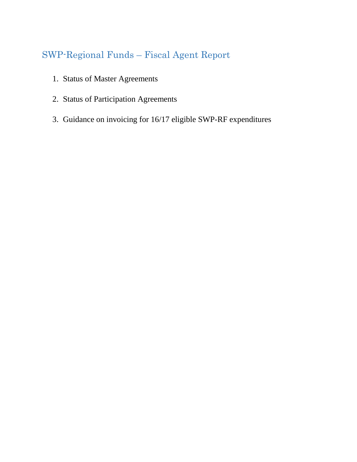# SWP-Regional Funds – Fiscal Agent Report

- 1. Status of Master Agreements
- 2. Status of Participation Agreements
- 3. Guidance on invoicing for 16/17 eligible SWP-RF expenditures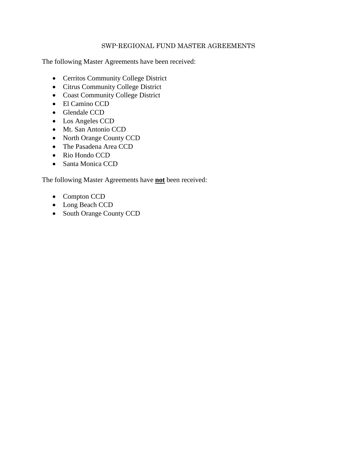#### SWP-REGIONAL FUND MASTER AGREEMENTS

The following Master Agreements have been received:

- Cerritos Community College District
- Citrus Community College District
- Coast Community College District
- El Camino CCD
- Glendale CCD
- Los Angeles CCD
- Mt. San Antonio CCD
- North Orange County CCD
- The Pasadena Area CCD
- Rio Hondo CCD
- Santa Monica CCD

The following Master Agreements have **not** been received:

- Compton CCD
- Long Beach CCD
- South Orange County CCD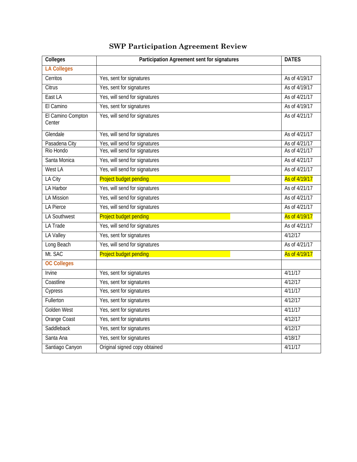| Colleges                    | Participation Agreement sent for signatures | <b>DATES</b>  |
|-----------------------------|---------------------------------------------|---------------|
| <b>LA Colleges</b>          |                                             |               |
| Cerritos                    | Yes, sent for signatures                    | As of 4/19/17 |
| Citrus                      | Yes, sent for signatures                    | As of 4/19/17 |
| East LA                     | Yes, will send for signatures               | As of 4/21/17 |
| El Camino                   | Yes, sent for signatures                    | As of 4/19/17 |
| El Camino Compton<br>Center | Yes, will send for signatures               | As of 4/21/17 |
| Glendale                    | Yes, will send for signatures               | As of 4/21/17 |
| Pasadena City               | Yes, will send for signatures               | As of 4/21/17 |
| Rio Hondo                   | Yes, will send for signatures               | As of 4/21/17 |
| Santa Monica                | Yes, will send for signatures               | As of 4/21/17 |
| West LA                     | Yes, will send for signatures               | As of 4/21/17 |
| LA City                     | <b>Project budget pending</b>               | As of 4/19/17 |
| <b>LA Harbor</b>            | Yes, will send for signatures               | As of 4/21/17 |
| <b>LA Mission</b>           | Yes, will send for signatures               | As of 4/21/17 |
| <b>LA Pierce</b>            | Yes, will send for signatures               | As of 4/21/17 |
| LA Southwest                | <b>Project budget pending</b>               | As of 4/19/17 |
| LA Trade                    | Yes, will send for signatures               | As of 4/21/17 |
| LA Valley                   | Yes, sent for signatures                    | 4/12/17       |
| Long Beach                  | Yes, will send for signatures               | As of 4/21/17 |
| Mt. SAC                     | <b>Project budget pending</b>               | As of 4/19/17 |
| <b>OC Colleges</b>          |                                             |               |
| Irvine                      | Yes, sent for signatures                    | 4/11/17       |
| Coastline                   | Yes, sent for signatures                    | 4/12/17       |
| Cypress                     | Yes, sent for signatures                    | 4/11/17       |
| Fullerton                   | Yes, sent for signatures                    | 4/12/17       |
| Golden West                 | Yes, sent for signatures                    | 4/11/17       |
| <b>Orange Coast</b>         | Yes, sent for signatures                    | 4/12/17       |
| Saddleback                  | Yes, sent for signatures                    | 4/12/17       |
| Santa Ana                   | Yes, sent for signatures                    | 4/18/17       |
| Santiago Canyon             | Original signed copy obtained               | 4/11/17       |

## **SWP Participation Agreement Review**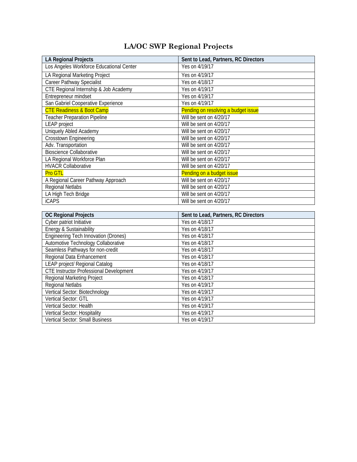### **LA/OC SWP Regional Projects**

| <b>LA Regional Projects</b>              | Sent to Lead, Partners, RC Directors |  |
|------------------------------------------|--------------------------------------|--|
| Los Angeles Workforce Educational Center | Yes on 4/19/17                       |  |
| LA Regional Marketing Project            | Yes on 4/19/17                       |  |
| Career Pathway Specialist                | Yes on 4/18/17                       |  |
| CTE Regional Internship & Job Academy    | Yes on 4/19/17                       |  |
| Entrepreneur mindset                     | Yes on 4/19/17                       |  |
| San Gabriel Cooperative Experience       | Yes on 4/19/17                       |  |
| <b>CTE Readiness &amp; Boot Camp</b>     | Pending on resolving a budget issue  |  |
| <b>Teacher Preparation Pipeline</b>      | Will be sent on 4/20/17              |  |
| <b>LEAP</b> project                      | Will be sent on 4/20/17              |  |
| Uniquely Abled Academy                   | Will be sent on 4/20/17              |  |
| Crosstown Engineering                    | Will be sent on 4/20/17              |  |
| Adv. Transportation                      | Will be sent on 4/20/17              |  |
| <b>Bioscience Collaborative</b>          | Will be sent on 4/20/17              |  |
| LA Regional Workforce Plan               | Will be sent on 4/20/17              |  |
| <b>HVACR Collaborative</b>               | Will be sent on 4/20/17              |  |
| <b>Pro GTL</b>                           | Pending on a budget issue            |  |
| A Regional Career Pathway Approach       | Will be sent on 4/20/17              |  |
| <b>Regional Netlabs</b>                  | Will be sent on 4/20/17              |  |
| LA High Tech Bridge                      | Will be sent on 4/20/17              |  |
| <b>iCAPS</b>                             | Will be sent on 4/20/17              |  |
|                                          |                                      |  |
| <b>OC Regional Projects</b>              | Sent to Lead, Partners, RC Directors |  |

| <b>OC Regional Projects</b>                    | Sent to Lead, Partners, RC Directors |
|------------------------------------------------|--------------------------------------|
| Cyber patriot Initiative                       | Yes on 4/18/17                       |
| Energy & Sustainability                        | Yes on 4/18/17                       |
| <b>Engineering Tech Innovation (Drones)</b>    | Yes on 4/18/17                       |
| Automotive Technology Collaborative            | Yes on 4/18/17                       |
| Seamless Pathways for non-credit               | Yes on 4/18/17                       |
| Regional Data Enhancement                      | Yes on 4/18/17                       |
| LEAP project/ Regional Catalog                 | Yes on 4/18/17                       |
| <b>CTE Instructor Professional Development</b> | Yes on 4/19/17                       |
| <b>Regional Marketing Project</b>              | Yes on 4/18/17                       |
| <b>Regional Netlabs</b>                        | Yes on 4/19/17                       |
| Vertical Sector: Biotechnology                 | Yes on 4/19/17                       |
| Vertical Sector: GTL                           | Yes on 4/19/17                       |
| Vertical Sector: Health                        | Yes on 4/19/17                       |
| Vertical Sector: Hospitality                   | Yes on 4/19/17                       |
| <b>Vertical Sector: Small Business</b>         | Yes on 4/19/17                       |